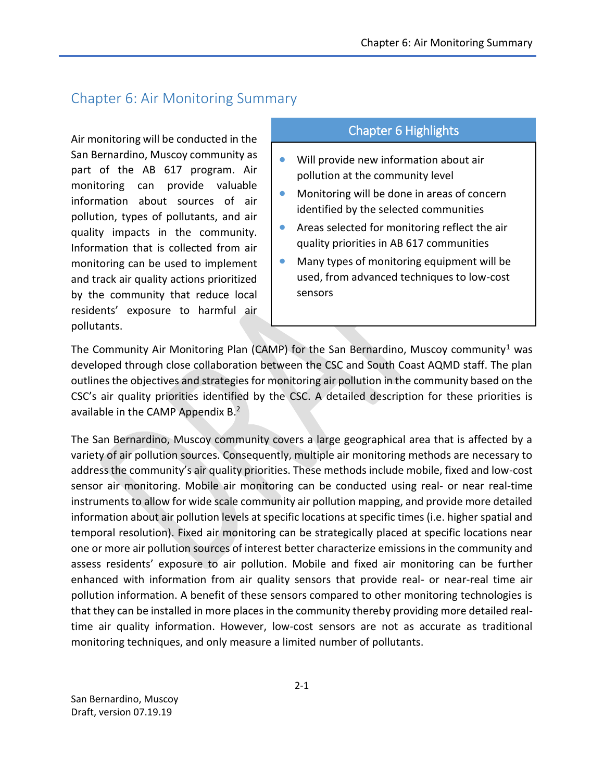## Chapter 6: Air Monitoring Summary

Air monitoring will be conducted in the San Bernardino, Muscoy community as part of the AB 617 program. Air monitoring can provide valuable information about sources of air pollution, types of pollutants, and air quality impacts in the community. Information that is collected from air monitoring can be used to implement and track air quality actions prioritized by the community that reduce local residents' exposure to harmful air pollutants.

## Chapter 6 Highlights

- Will provide new information about air pollution at the community level
- **•** Monitoring will be done in areas of concern identified by the selected communities
- Areas selected for monitoring reflect the air quality priorities in AB 617 communities
- Many types of monitoring equipment will be used, from advanced techniques to low-cost sensors

The Community Air Monitoring Plan (CAMP) for the San Bernardino, Muscoy community<sup>1</sup> was developed through close collaboration between the CSC and South Coast AQMD staff. The plan outlines the objectives and strategies for monitoring air pollution in the community based on the CSC's air quality priorities identified by the CSC. A detailed description for these priorities is available in the CAMP Appendix B.<sup>2</sup>

The San Bernardino, Muscoy community covers a large geographical area that is affected by a variety of air pollution sources. Consequently, multiple air monitoring methods are necessary to address the community's air quality priorities. These methods include mobile, fixed and low-cost sensor air monitoring. Mobile air monitoring can be conducted using real- or near real-time instruments to allow for wide scale community air pollution mapping, and provide more detailed information about air pollution levels at specific locations at specific times (i.e. higher spatial and temporal resolution). Fixed air monitoring can be strategically placed at specific locations near one or more air pollution sources of interest better characterize emissions in the community and assess residents' exposure to air pollution. Mobile and fixed air monitoring can be further enhanced with information from air quality sensors that provide real- or near-real time air pollution information. A benefit of these sensors compared to other monitoring technologies is that they can be installed in more places in the community thereby providing more detailed realtime air quality information. However, low-cost sensors are not as accurate as traditional monitoring techniques, and only measure a limited number of pollutants.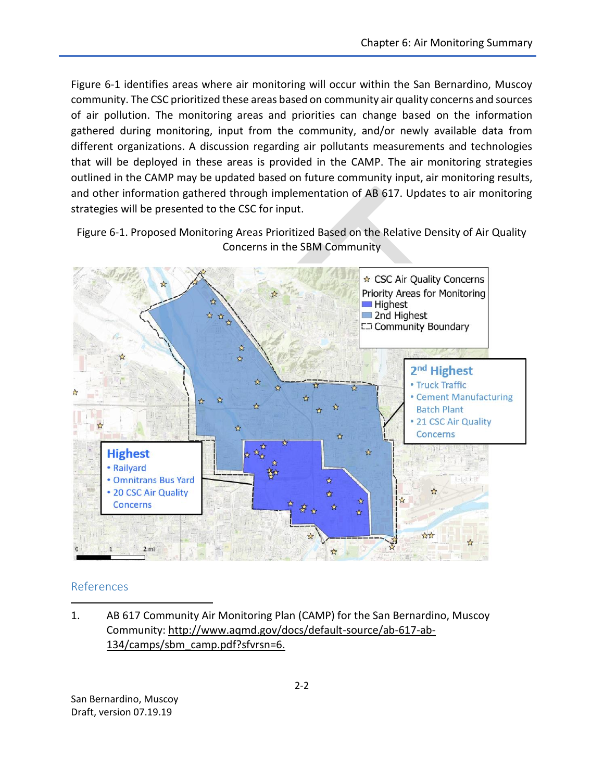Figure 6-1 identifies areas where air monitoring will occur within the San Bernardino, Muscoy community. The CSC prioritized these areas based on community air quality concerns and sources of air pollution. The monitoring areas and priorities can change based on the information gathered during monitoring, input from the community, and/or newly available data from different organizations. A discussion regarding air pollutants measurements and technologies that will be deployed in these areas is provided in the CAMP. The air monitoring strategies outlined in the CAMP may be updated based on future community input, air monitoring results, and other information gathered through implementation of AB 617. Updates to air monitoring strategies will be presented to the CSC for input.

Figure 6-1. Proposed Monitoring Areas Prioritized Based on the Relative Density of Air Quality Concerns in the SBM Community



## References

l

1. AB 617 Community Air Monitoring Plan (CAMP) for the San Bernardino, Muscoy Community: [http://www.aqmd.gov/docs/default-source/ab-617-ab-](http://www.aqmd.gov/docs/default-source/ab-617-ab-134/camps/sbm_camp.pdf?sfvrsn=6)[134/camps/sbm\\_camp.pdf?sfvrsn=6.](http://www.aqmd.gov/docs/default-source/ab-617-ab-134/camps/sbm_camp.pdf?sfvrsn=6)

San Bernardino, Muscoy Draft, version 07.19.19